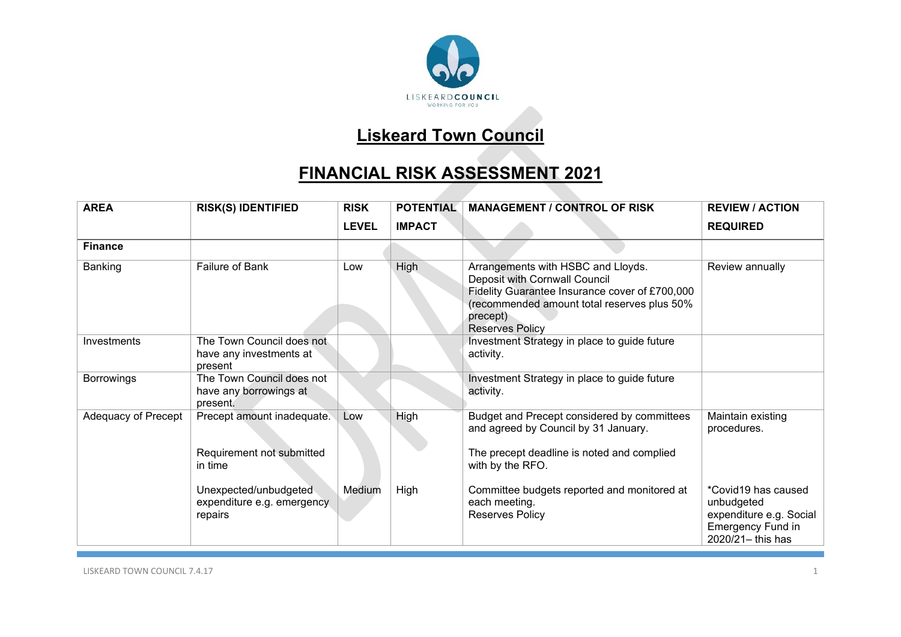

## **Liskeard Town Council**

## **FINANCIAL RISK ASSESSMENT 2021**

| <b>AREA</b>         | <b>RISK(S) IDENTIFIED</b>                                       | <b>RISK</b>  | <b>POTENTIAL</b> | <b>MANAGEMENT / CONTROL OF RISK</b>                                                                                                                                                                        | <b>REVIEW / ACTION</b>                                                                                        |
|---------------------|-----------------------------------------------------------------|--------------|------------------|------------------------------------------------------------------------------------------------------------------------------------------------------------------------------------------------------------|---------------------------------------------------------------------------------------------------------------|
|                     |                                                                 | <b>LEVEL</b> | <b>IMPACT</b>    |                                                                                                                                                                                                            | <b>REQUIRED</b>                                                                                               |
| <b>Finance</b>      |                                                                 |              |                  |                                                                                                                                                                                                            |                                                                                                               |
| Banking             | <b>Failure of Bank</b>                                          | Low          | High             | Arrangements with HSBC and Lloyds.<br>Deposit with Cornwall Council<br>Fidelity Guarantee Insurance cover of £700,000<br>(recommended amount total reserves plus 50%<br>precept)<br><b>Reserves Policy</b> | Review annually                                                                                               |
| Investments         | The Town Council does not<br>have any investments at<br>present |              |                  | Investment Strategy in place to guide future<br>activity.                                                                                                                                                  |                                                                                                               |
| <b>Borrowings</b>   | The Town Council does not<br>have any borrowings at<br>present. |              |                  | Investment Strategy in place to guide future<br>activity.                                                                                                                                                  |                                                                                                               |
| Adequacy of Precept | Precept amount inadequate.                                      | Low          | High             | Budget and Precept considered by committees<br>and agreed by Council by 31 January.                                                                                                                        | Maintain existing<br>procedures.                                                                              |
|                     | Requirement not submitted<br>in time                            |              |                  | The precept deadline is noted and complied<br>with by the RFO.                                                                                                                                             |                                                                                                               |
|                     | Unexpected/unbudgeted<br>expenditure e.g. emergency<br>repairs  | Medium       | High             | Committee budgets reported and monitored at<br>each meeting.<br><b>Reserves Policy</b>                                                                                                                     | *Covid19 has caused<br>unbudgeted<br>expenditure e.g. Social<br><b>Emergency Fund in</b><br>2020/21- this has |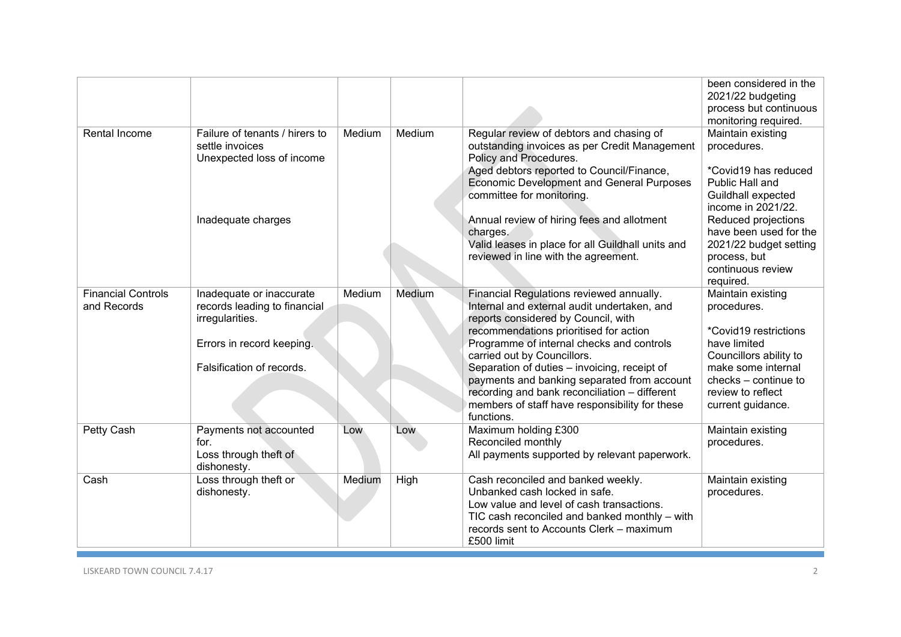|                                          |                                                                                                                                       |        |        |                                                                                                                                                                                                                                                                                                                                                                                                                                                                      | been considered in the<br>2021/22 budgeting<br>process but continuous<br>monitoring required.                                                                                                                                                        |
|------------------------------------------|---------------------------------------------------------------------------------------------------------------------------------------|--------|--------|----------------------------------------------------------------------------------------------------------------------------------------------------------------------------------------------------------------------------------------------------------------------------------------------------------------------------------------------------------------------------------------------------------------------------------------------------------------------|------------------------------------------------------------------------------------------------------------------------------------------------------------------------------------------------------------------------------------------------------|
| Rental Income                            | Failure of tenants / hirers to<br>settle invoices<br>Unexpected loss of income<br>Inadequate charges                                  | Medium | Medium | Regular review of debtors and chasing of<br>outstanding invoices as per Credit Management<br>Policy and Procedures.<br>Aged debtors reported to Council/Finance,<br><b>Economic Development and General Purposes</b><br>committee for monitoring.<br>Annual review of hiring fees and allotment<br>charges.<br>Valid leases in place for all Guildhall units and<br>reviewed in line with the agreement.                                                             | Maintain existing<br>procedures.<br>*Covid19 has reduced<br>Public Hall and<br>Guildhall expected<br>income in 2021/22.<br>Reduced projections<br>have been used for the<br>2021/22 budget setting<br>process, but<br>continuous review<br>required. |
| <b>Financial Controls</b><br>and Records | Inadequate or inaccurate<br>records leading to financial<br>irregularities.<br>Errors in record keeping.<br>Falsification of records. | Medium | Medium | Financial Regulations reviewed annually.<br>Internal and external audit undertaken, and<br>reports considered by Council, with<br>recommendations prioritised for action<br>Programme of internal checks and controls<br>carried out by Councillors.<br>Separation of duties - invoicing, receipt of<br>payments and banking separated from account<br>recording and bank reconciliation - different<br>members of staff have responsibility for these<br>functions. | Maintain existing<br>procedures.<br>*Covid19 restrictions<br>have limited<br>Councillors ability to<br>make some internal<br>checks – continue to<br>review to reflect<br>current guidance.                                                          |
| Petty Cash                               | Payments not accounted<br>for.<br>Loss through theft of<br>dishonesty.                                                                | Low    | Low    | Maximum holding £300<br>Reconciled monthly<br>All payments supported by relevant paperwork.                                                                                                                                                                                                                                                                                                                                                                          | Maintain existing<br>procedures.                                                                                                                                                                                                                     |
| Cash                                     | Loss through theft or<br>dishonesty.                                                                                                  | Medium | High   | Cash reconciled and banked weekly.<br>Unbanked cash locked in safe.<br>Low value and level of cash transactions.<br>TIC cash reconciled and banked monthly - with<br>records sent to Accounts Clerk – maximum<br>£500 limit                                                                                                                                                                                                                                          | Maintain existing<br>procedures.                                                                                                                                                                                                                     |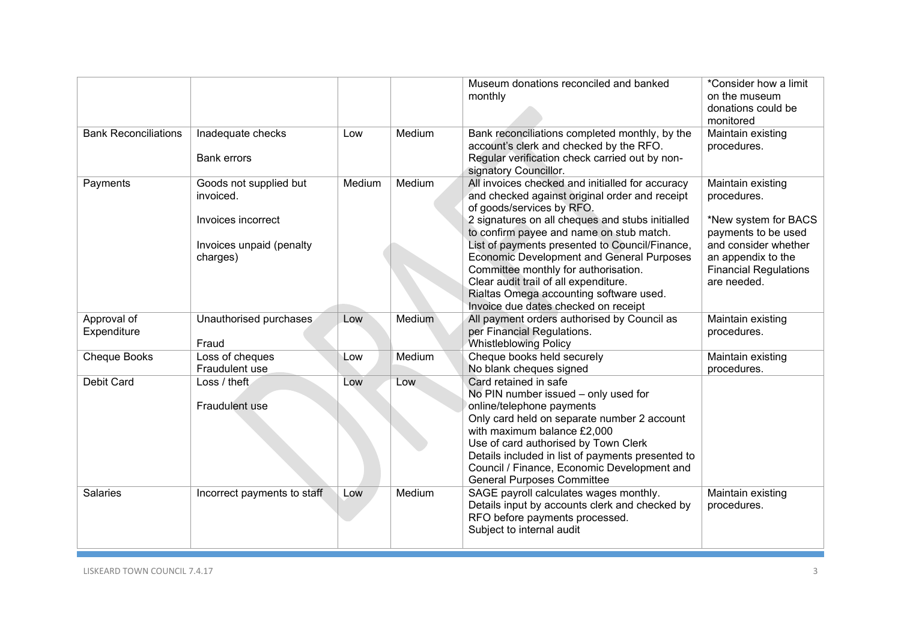|                             |                                                                                                   |        |        | Museum donations reconciled and banked<br>monthly                                                                                                                                                                                                                                                                                                                                                                                                                                                         | *Consider how a limit<br>on the museum<br>donations could be                                                                                                                 |
|-----------------------------|---------------------------------------------------------------------------------------------------|--------|--------|-----------------------------------------------------------------------------------------------------------------------------------------------------------------------------------------------------------------------------------------------------------------------------------------------------------------------------------------------------------------------------------------------------------------------------------------------------------------------------------------------------------|------------------------------------------------------------------------------------------------------------------------------------------------------------------------------|
| <b>Bank Reconciliations</b> | Inadequate checks<br><b>Bank errors</b>                                                           | Low    | Medium | Bank reconciliations completed monthly, by the<br>account's clerk and checked by the RFO.<br>Regular verification check carried out by non-<br>signatory Councillor.                                                                                                                                                                                                                                                                                                                                      | monitored<br>Maintain existing<br>procedures.                                                                                                                                |
| Payments                    | Goods not supplied but<br>invoiced.<br>Invoices incorrect<br>Invoices unpaid (penalty<br>charges) | Medium | Medium | All invoices checked and initialled for accuracy<br>and checked against original order and receipt<br>of goods/services by RFO.<br>2 signatures on all cheques and stubs initialled<br>to confirm payee and name on stub match.<br>List of payments presented to Council/Finance,<br><b>Economic Development and General Purposes</b><br>Committee monthly for authorisation.<br>Clear audit trail of all expenditure.<br>Rialtas Omega accounting software used.<br>Invoice due dates checked on receipt | Maintain existing<br>procedures.<br>*New system for BACS<br>payments to be used<br>and consider whether<br>an appendix to the<br><b>Financial Regulations</b><br>are needed. |
| Approval of<br>Expenditure  | Unauthorised purchases<br>Fraud                                                                   | Low    | Medium | All payment orders authorised by Council as<br>per Financial Regulations.<br><b>Whistleblowing Policy</b>                                                                                                                                                                                                                                                                                                                                                                                                 | Maintain existing<br>procedures.                                                                                                                                             |
| <b>Cheque Books</b>         | Loss of cheques<br>Fraudulent use                                                                 | Low    | Medium | Cheque books held securely<br>No blank cheques signed                                                                                                                                                                                                                                                                                                                                                                                                                                                     | Maintain existing<br>procedures.                                                                                                                                             |
| <b>Debit Card</b>           | Loss / theft<br>Fraudulent use                                                                    | Low    | Low    | Card retained in safe<br>No PIN number issued - only used for<br>online/telephone payments<br>Only card held on separate number 2 account<br>with maximum balance £2,000<br>Use of card authorised by Town Clerk<br>Details included in list of payments presented to<br>Council / Finance, Economic Development and<br><b>General Purposes Committee</b>                                                                                                                                                 |                                                                                                                                                                              |
| Salaries                    | Incorrect payments to staff                                                                       | Low    | Medium | SAGE payroll calculates wages monthly.<br>Details input by accounts clerk and checked by<br>RFO before payments processed.<br>Subject to internal audit                                                                                                                                                                                                                                                                                                                                                   | Maintain existing<br>procedures.                                                                                                                                             |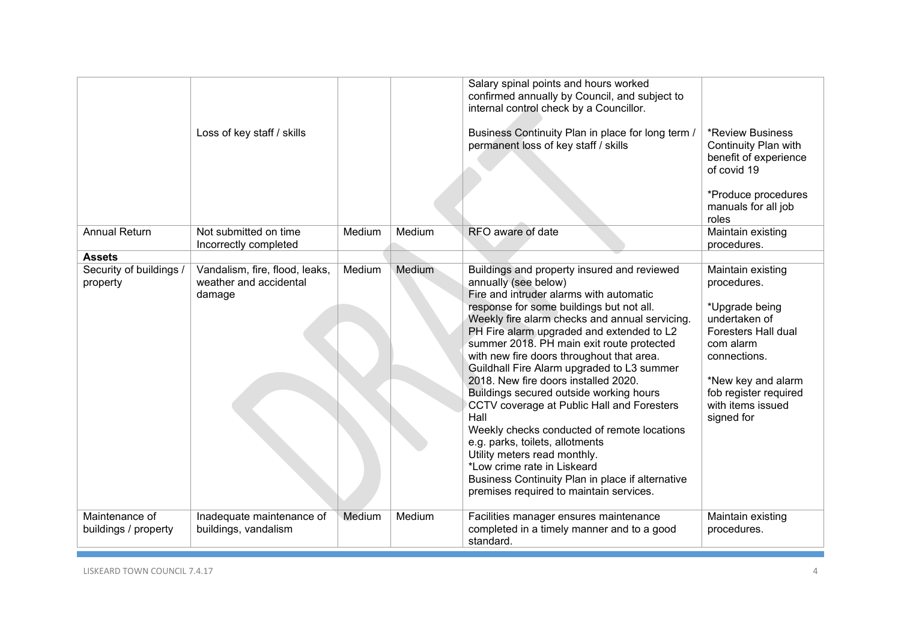|                                        | Loss of key staff / skills                                         |        |        | Salary spinal points and hours worked<br>confirmed annually by Council, and subject to<br>internal control check by a Councillor.<br>Business Continuity Plan in place for long term /<br>permanent loss of key staff / skills                                                                                                                                                                                                                                                                                                                                                                                                                                                                                                                                                             | <b>*Review Business</b><br>Continuity Plan with<br>benefit of experience<br>of covid 19<br>*Produce procedures<br>manuals for all job<br>roles                                                                   |
|----------------------------------------|--------------------------------------------------------------------|--------|--------|--------------------------------------------------------------------------------------------------------------------------------------------------------------------------------------------------------------------------------------------------------------------------------------------------------------------------------------------------------------------------------------------------------------------------------------------------------------------------------------------------------------------------------------------------------------------------------------------------------------------------------------------------------------------------------------------------------------------------------------------------------------------------------------------|------------------------------------------------------------------------------------------------------------------------------------------------------------------------------------------------------------------|
| <b>Annual Return</b>                   | Not submitted on time<br>Incorrectly completed                     | Medium | Medium | RFO aware of date                                                                                                                                                                                                                                                                                                                                                                                                                                                                                                                                                                                                                                                                                                                                                                          | Maintain existing<br>procedures.                                                                                                                                                                                 |
| <b>Assets</b>                          |                                                                    |        |        |                                                                                                                                                                                                                                                                                                                                                                                                                                                                                                                                                                                                                                                                                                                                                                                            |                                                                                                                                                                                                                  |
| Security of buildings /<br>property    | Vandalism, fire, flood, leaks,<br>weather and accidental<br>damage | Medium | Medium | Buildings and property insured and reviewed<br>annually (see below)<br>Fire and intruder alarms with automatic<br>response for some buildings but not all.<br>Weekly fire alarm checks and annual servicing.<br>PH Fire alarm upgraded and extended to L2<br>summer 2018. PH main exit route protected<br>with new fire doors throughout that area.<br>Guildhall Fire Alarm upgraded to L3 summer<br>2018. New fire doors installed 2020.<br>Buildings secured outside working hours<br>CCTV coverage at Public Hall and Foresters<br>Hall<br>Weekly checks conducted of remote locations<br>e.g. parks, toilets, allotments<br>Utility meters read monthly.<br>*Low crime rate in Liskeard<br>Business Continuity Plan in place if alternative<br>premises required to maintain services. | Maintain existing<br>procedures.<br>*Upgrade being<br>undertaken of<br><b>Foresters Hall dual</b><br>com alarm<br>connections.<br>*New key and alarm<br>fob register required<br>with items issued<br>signed for |
| Maintenance of<br>buildings / property | Inadequate maintenance of<br>buildings, vandalism                  | Medium | Medium | Facilities manager ensures maintenance<br>completed in a timely manner and to a good<br>standard.                                                                                                                                                                                                                                                                                                                                                                                                                                                                                                                                                                                                                                                                                          | Maintain existing<br>procedures.                                                                                                                                                                                 |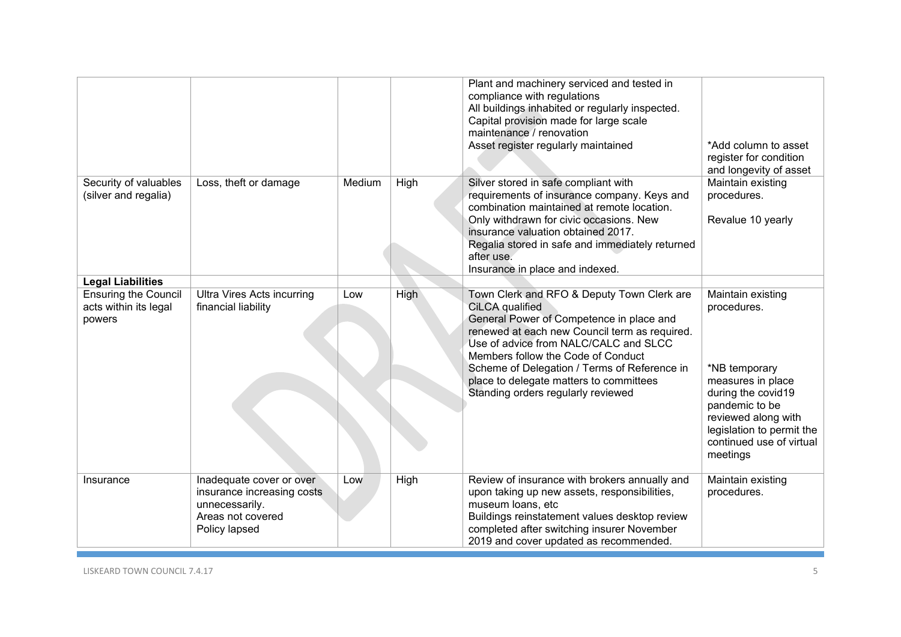|                                                         |                                                        |        |      | Plant and machinery serviced and tested in<br>compliance with regulations<br>All buildings inhabited or regularly inspected.<br>Capital provision made for large scale<br>maintenance / renovation<br>Asset register regularly maintained                                                                                    | *Add column to asset<br>register for condition<br>and longevity of asset                                                                                                              |
|---------------------------------------------------------|--------------------------------------------------------|--------|------|------------------------------------------------------------------------------------------------------------------------------------------------------------------------------------------------------------------------------------------------------------------------------------------------------------------------------|---------------------------------------------------------------------------------------------------------------------------------------------------------------------------------------|
| Security of valuables<br>(silver and regalia)           | Loss, theft or damage                                  | Medium | High | Silver stored in safe compliant with<br>requirements of insurance company. Keys and<br>combination maintained at remote location.<br>Only withdrawn for civic occasions. New<br>insurance valuation obtained 2017.<br>Regalia stored in safe and immediately returned<br>after use.<br>Insurance in place and indexed.       | Maintain existing<br>procedures.<br>Revalue 10 yearly                                                                                                                                 |
| <b>Legal Liabilities</b><br><b>Ensuring the Council</b> | <b>Ultra Vires Acts incurring</b>                      | Low    | High | Town Clerk and RFO & Deputy Town Clerk are                                                                                                                                                                                                                                                                                   | Maintain existing                                                                                                                                                                     |
| acts within its legal<br>powers                         | financial liability                                    |        |      | CiLCA qualified<br>General Power of Competence in place and<br>renewed at each new Council term as required.<br>Use of advice from NALC/CALC and SLCC<br>Members follow the Code of Conduct<br>Scheme of Delegation / Terms of Reference in<br>place to delegate matters to committees<br>Standing orders regularly reviewed | procedures.<br>*NB temporary<br>measures in place<br>during the covid19<br>pandemic to be<br>reviewed along with<br>legislation to permit the<br>continued use of virtual<br>meetings |
| Insurance                                               | Inadequate cover or over<br>insurance increasing costs | Low    | High | Review of insurance with brokers annually and<br>upon taking up new assets, responsibilities,                                                                                                                                                                                                                                | Maintain existing<br>procedures.                                                                                                                                                      |
|                                                         | unnecessarily.<br>Areas not covered                    |        |      | museum loans, etc<br>Buildings reinstatement values desktop review                                                                                                                                                                                                                                                           |                                                                                                                                                                                       |
|                                                         | Policy lapsed                                          |        |      | completed after switching insurer November<br>2019 and cover updated as recommended.                                                                                                                                                                                                                                         |                                                                                                                                                                                       |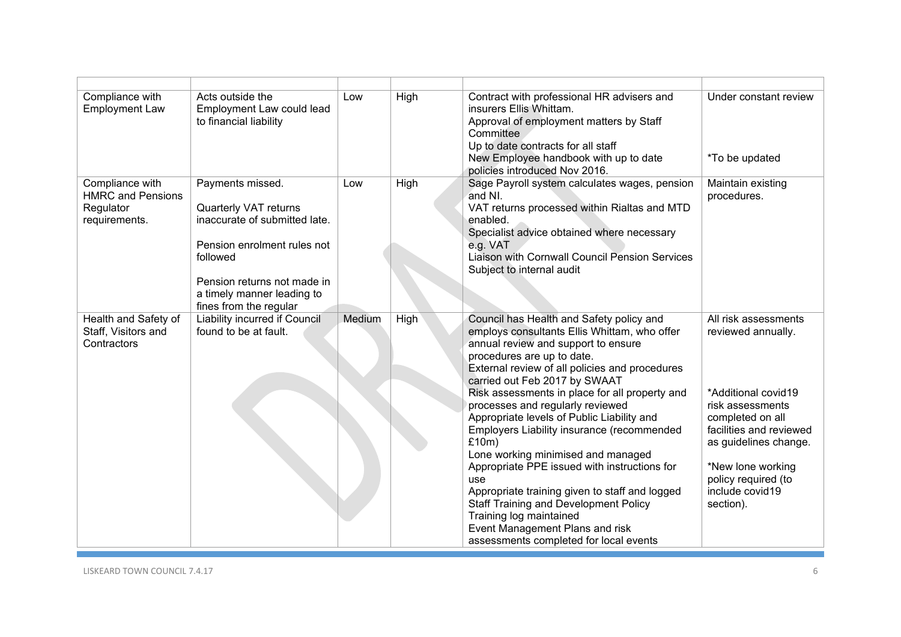| Compliance with<br><b>Employment Law</b>                                  | Acts outside the<br>Employment Law could lead<br>to financial liability                                                                                                                                      | Low    | High | Contract with professional HR advisers and<br>insurers Ellis Whittam.<br>Approval of employment matters by Staff<br>Committee<br>Up to date contracts for all staff<br>New Employee handbook with up to date<br>policies introduced Nov 2016.                                                                                                                                                                                                                                                                                                                                                                                                                                                                                                      | Under constant review<br>*To be updated                                                                                                                                                                                                   |
|---------------------------------------------------------------------------|--------------------------------------------------------------------------------------------------------------------------------------------------------------------------------------------------------------|--------|------|----------------------------------------------------------------------------------------------------------------------------------------------------------------------------------------------------------------------------------------------------------------------------------------------------------------------------------------------------------------------------------------------------------------------------------------------------------------------------------------------------------------------------------------------------------------------------------------------------------------------------------------------------------------------------------------------------------------------------------------------------|-------------------------------------------------------------------------------------------------------------------------------------------------------------------------------------------------------------------------------------------|
| Compliance with<br><b>HMRC and Pensions</b><br>Regulator<br>requirements. | Payments missed.<br>Quarterly VAT returns<br>inaccurate of submitted late.<br>Pension enrolment rules not<br>followed<br>Pension returns not made in<br>a timely manner leading to<br>fines from the regular | Low    | High | Sage Payroll system calculates wages, pension<br>and NI.<br>VAT returns processed within Rialtas and MTD<br>enabled.<br>Specialist advice obtained where necessary<br>e.g. VAT<br>Liaison with Cornwall Council Pension Services<br>Subject to internal audit                                                                                                                                                                                                                                                                                                                                                                                                                                                                                      | Maintain existing<br>procedures.                                                                                                                                                                                                          |
| Health and Safety of<br>Staff, Visitors and<br>Contractors                | <b>Liability incurred if Council</b><br>found to be at fault.                                                                                                                                                | Medium | High | Council has Health and Safety policy and<br>employs consultants Ellis Whittam, who offer<br>annual review and support to ensure<br>procedures are up to date.<br>External review of all policies and procedures<br>carried out Feb 2017 by SWAAT<br>Risk assessments in place for all property and<br>processes and regularly reviewed<br>Appropriate levels of Public Liability and<br>Employers Liability insurance (recommended<br>£10m)<br>Lone working minimised and managed<br>Appropriate PPE issued with instructions for<br>use<br>Appropriate training given to staff and logged<br><b>Staff Training and Development Policy</b><br>Training log maintained<br>Event Management Plans and risk<br>assessments completed for local events | All risk assessments<br>reviewed annually.<br>*Additional covid19<br>risk assessments<br>completed on all<br>facilities and reviewed<br>as guidelines change.<br>*New lone working<br>policy required (to<br>include covid19<br>section). |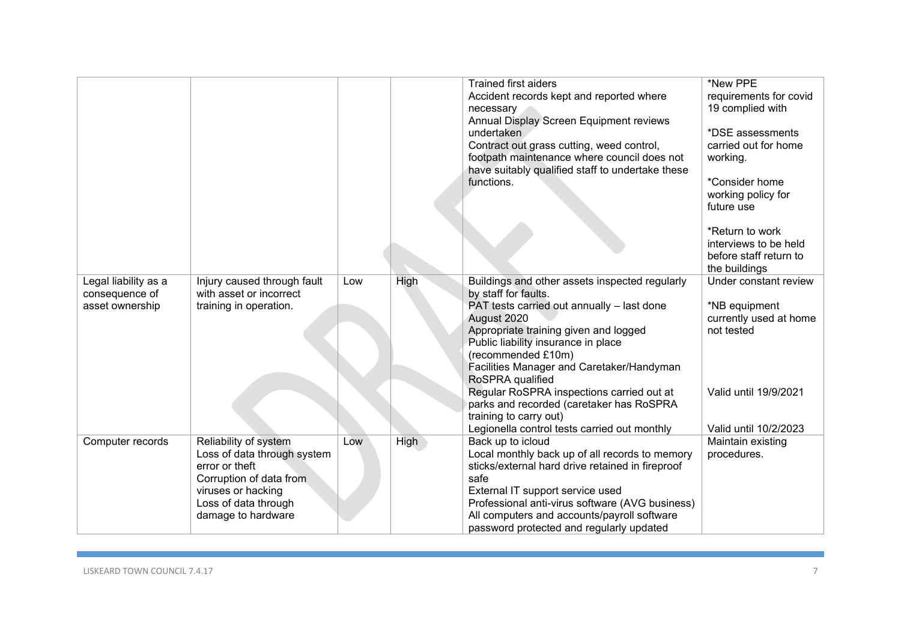|                                                           |                                                                                                                                                                       |     |             | <b>Trained first aiders</b><br>Accident records kept and reported where<br>necessary<br>Annual Display Screen Equipment reviews<br>undertaken<br>Contract out grass cutting, weed control,<br>footpath maintenance where council does not<br>have suitably qualified staff to undertake these<br>functions.       | *New PPE<br>requirements for covid<br>19 complied with<br>*DSE assessments<br>carried out for home<br>working.<br>*Consider home<br>working policy for<br>future use |
|-----------------------------------------------------------|-----------------------------------------------------------------------------------------------------------------------------------------------------------------------|-----|-------------|-------------------------------------------------------------------------------------------------------------------------------------------------------------------------------------------------------------------------------------------------------------------------------------------------------------------|----------------------------------------------------------------------------------------------------------------------------------------------------------------------|
|                                                           |                                                                                                                                                                       |     |             |                                                                                                                                                                                                                                                                                                                   | *Return to work<br>interviews to be held<br>before staff return to<br>the buildings                                                                                  |
| Legal liability as a<br>consequence of<br>asset ownership | Injury caused through fault<br>with asset or incorrect<br>training in operation.                                                                                      | Low | High        | Buildings and other assets inspected regularly<br>by staff for faults.<br>PAT tests carried out annually - last done<br>August 2020<br>Appropriate training given and logged<br>Public liability insurance in place<br>(recommended £10m)<br>Facilities Manager and Caretaker/Handyman<br>RoSPRA qualified        | Under constant review<br>*NB equipment<br>currently used at home<br>not tested                                                                                       |
|                                                           |                                                                                                                                                                       |     |             | Regular RoSPRA inspections carried out at<br>parks and recorded (caretaker has RoSPRA<br>training to carry out)<br>Legionella control tests carried out monthly                                                                                                                                                   | Valid until 19/9/2021<br>Valid until 10/2/2023                                                                                                                       |
| Computer records                                          | Reliability of system<br>Loss of data through system<br>error or theft<br>Corruption of data from<br>viruses or hacking<br>Loss of data through<br>damage to hardware | Low | <b>High</b> | Back up to icloud<br>Local monthly back up of all records to memory<br>sticks/external hard drive retained in fireproof<br>safe<br>External IT support service used<br>Professional anti-virus software (AVG business)<br>All computers and accounts/payroll software<br>password protected and regularly updated | Maintain existing<br>procedures.                                                                                                                                     |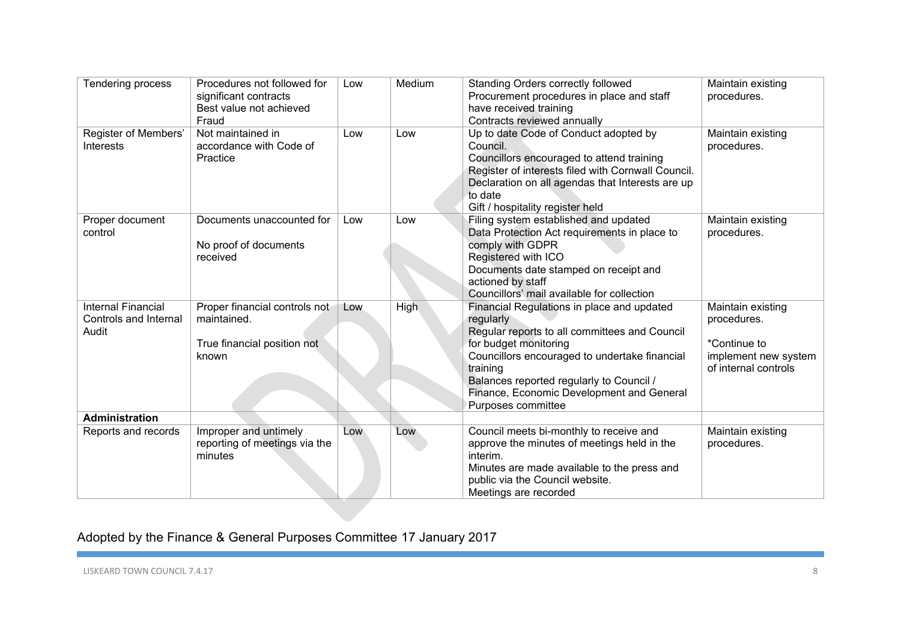| Tendering process                                                  | Procedures not followed for<br>significant contracts<br>Best value not achieved<br>Fraud | Low | Medium      | Standing Orders correctly followed<br>Procurement procedures in place and staff<br>have received training<br>Contracts reviewed annually                                                                                                                                                                      | Maintain existing<br>procedures.                                                                 |
|--------------------------------------------------------------------|------------------------------------------------------------------------------------------|-----|-------------|---------------------------------------------------------------------------------------------------------------------------------------------------------------------------------------------------------------------------------------------------------------------------------------------------------------|--------------------------------------------------------------------------------------------------|
| Register of Members'<br>Interests                                  | Not maintained in<br>accordance with Code of<br>Practice                                 | Low | Low         | Up to date Code of Conduct adopted by<br>Council.<br>Councillors encouraged to attend training<br>Register of interests filed with Cornwall Council.<br>Declaration on all agendas that Interests are up<br>to date<br>Gift / hospitality register held                                                       | Maintain existing<br>procedures.                                                                 |
| Proper document<br>control                                         | Documents unaccounted for<br>No proof of documents<br>received                           | Low | Low         | Filing system established and updated<br>Data Protection Act requirements in place to<br>comply with GDPR<br>Registered with ICO<br>Documents date stamped on receipt and<br>actioned by staff<br>Councillors' mail available for collection                                                                  | Maintain existing<br>procedures.                                                                 |
| <b>Internal Financial</b><br><b>Controls and Internal</b><br>Audit | Proper financial controls not<br>maintained.<br>True financial position not<br>known     | Low | <b>High</b> | Financial Regulations in place and updated<br>regularly<br>Regular reports to all committees and Council<br>for budget monitoring<br>Councillors encouraged to undertake financial<br>training<br>Balances reported regularly to Council /<br>Finance, Economic Development and General<br>Purposes committee | Maintain existing<br>procedures.<br>*Continue to<br>implement new system<br>of internal controls |
| <b>Administration</b>                                              |                                                                                          |     |             |                                                                                                                                                                                                                                                                                                               |                                                                                                  |
| Reports and records                                                | Improper and untimely<br>reporting of meetings via the<br>minutes                        | Low | Low         | Council meets bi-monthly to receive and<br>approve the minutes of meetings held in the<br>interim.<br>Minutes are made available to the press and<br>public via the Council website.<br>Meetings are recorded                                                                                                 | Maintain existing<br>procedures.                                                                 |

## Adopted by the Finance & General Purposes Committee 17 January 2017